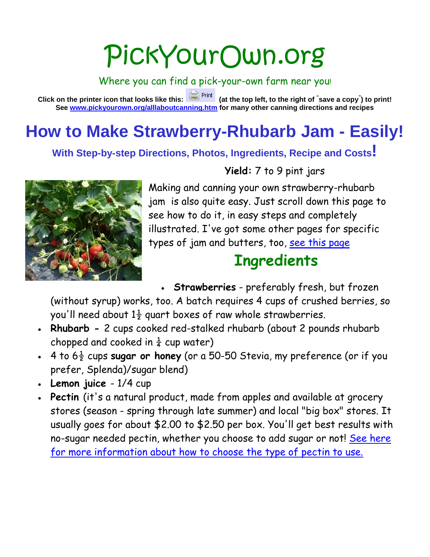# PickYourOwn.org

Where you can find a pick-your-own farm near you!

**Click on the printer icon that looks like this: (at the top left, to the right of " save a copy" ) to print! See [www.pickyourown.org/alllaboutcanning.htm](http://www.pickyourown.org/alllaboutcanning.htm) for many other canning directions and recipes**

# **How to Make Strawberry-Rhubarb Jam - Easily!**

**With Step-by-step Directions, Photos, Ingredients, Recipe and Costs!**



**Yield:** 7 to 9 pint jars

Making and canning your own strawberry-rhubarb jam is also quite easy. Just scroll down this page to see how to do it, in easy steps and completely illustrated. I've got some other pages for specific types of jam and butters, too, [see this page](http://pickyourown.org/allaboutcanning.htm#Jams)

## **Ingredients**

• **Strawberries** - preferably fresh, but frozen

(without syrup) works, too. A batch requires 4 cups of crushed berries, so you'll need about  $1\frac{1}{2}$  quart boxes of raw whole strawberries.

- **Rhubarb -** 2 cups cooked red-stalked rhubarb (about 2 pounds rhubarb chopped and cooked in  $\frac{1}{4}$  cup water)
- $\cdot$  4 to  $6\frac{1}{2}$  cups **sugar or honey** (or a 50-50 Stevia, my preference (or if you prefer, Splenda)/sugar blend)
- **Lemon juice** 1/4 cup
- **Pectin** (it's a natural product, made from apples and available at grocery stores (season - spring through late summer) and local "big box" stores. It usually goes for about \$2.00 to \$2.50 per box. You'll get best results with no-sugar needed pectin, whether you choose to add sugar or not! See here [for more information about how to choose the type of pectin to use.](http://pickyourown.org/pectin.htm)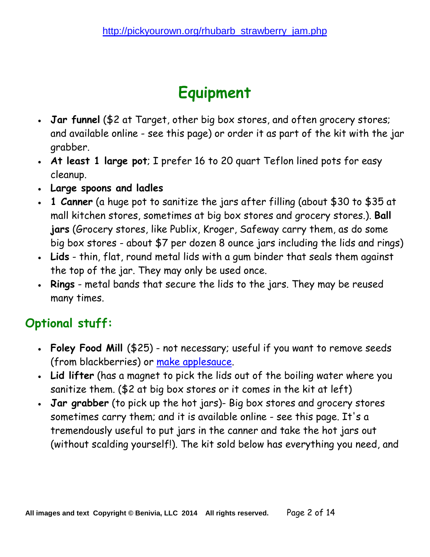# **Equipment**

- **Jar funnel** (\$2 at Target, other big box stores, and often grocery stores; and available online - see this page) or order it as part of the kit with the jar grabber.
- **At least 1 large pot**; I prefer 16 to 20 quart Teflon lined pots for easy cleanup.
- **Large spoons and ladles**
- **1 Canner** (a huge pot to sanitize the jars after filling (about \$30 to \$35 at mall kitchen stores, sometimes at big box stores and grocery stores.). **Ball jars** (Grocery stores, like Publix, Kroger, Safeway carry them, as do some big box stores - about \$7 per dozen 8 ounce jars including the lids and rings)
- **Lids** thin, flat, round metal lids with a gum binder that seals them against the top of the jar. They may only be used once.
- **Rings** metal bands that secure the lids to the jars. They may be reused many times.

## **Optional stuff:**

- **Foley Food Mill** (\$25) not necessary; useful if you want to remove seeds (from blackberries) or [make applesauce.](http://pickyourown.org/applesauce.htm)
- **Lid lifter** (has a magnet to pick the lids out of the boiling water where you sanitize them. (\$2 at big box stores or it comes in the kit at left)
- **Jar grabber** (to pick up the hot jars)- Big box stores and grocery stores sometimes carry them; and it is available online - see this page. It's a tremendously useful to put jars in the canner and take the hot jars out (without scalding yourself!). The kit sold below has everything you need, and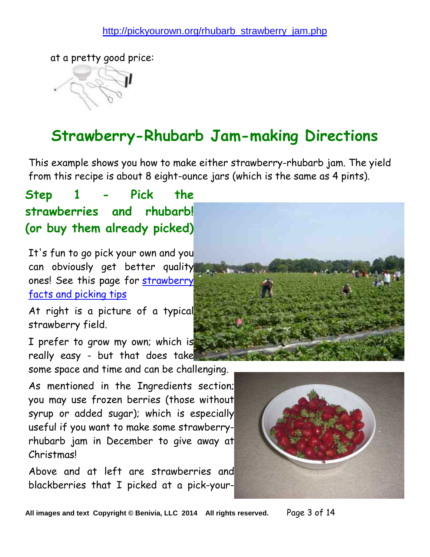at a pretty good price:

## **Strawberry-Rhubarb Jam-making Directions**

This example shows you how to make either strawberry-rhubarb jam. The yield from this recipe is about 8 eight-ounce jars (which is the same as 4 pints).

**Step 1 - Pick the strawberries and rhubarb! (or buy them already picked)**

It's fun to go pick your own and you can obviously get better quality ones! See this page for [strawberry](http://pickyourown.org/strawberries.htm)  [facts and picking tips](http://pickyourown.org/strawberries.htm)

At right is a picture of a typical strawberry field.

I prefer to grow my own; which is really easy - but that does take some space and time and can be challenging.

As mentioned in the Ingredients section; you may use frozen berries (those without syrup or added sugar); which is especially useful if you want to make some strawberryrhubarb jam in December to give away at Christmas!

Above and at left are strawberries and blackberries that I picked at a pick-your-





**All images and text Copyright © Benivia, LLC 2014 All rights reserved.** Page 3 of 14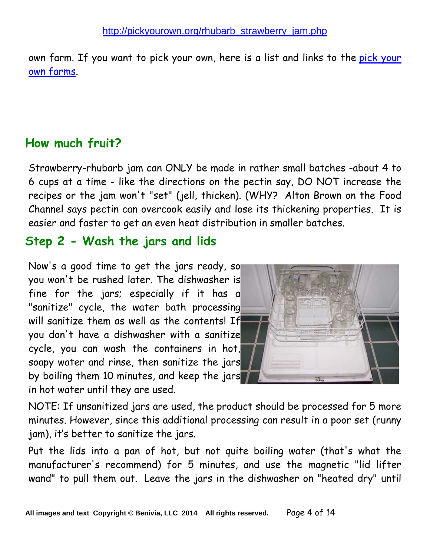own farm. If you want to pick your own, here is a list and links to the [pick your](http://pickyourown.org/index.htm)  [own farms.](http://pickyourown.org/index.htm)

#### **How much fruit?**

Strawberry-rhubarb jam can ONLY be made in rather small batches -about 4 to 6 cups at a time - like the directions on the pectin say, DO NOT increase the recipes or the jam won't "set" (jell, thicken). (WHY? Alton Brown on the Food Channel says pectin can overcook easily and lose its thickening properties. It is easier and faster to get an even heat distribution in smaller batches.

#### **Step 2 - Wash the jars and lids**

Now's a good time to get the jars ready, so you won't be rushed later. The dishwasher is fine for the jars; especially if it has a "sanitize" cycle, the water bath processing will sanitize them as well as the contents! If you don't have a dishwasher with a sanitize cycle, you can wash the containers in hot, soapy water and rinse, then sanitize the jars by boiling them 10 minutes, and keep the jars in hot water until they are used.



NOTE: If unsanitized jars are used, the product should be processed for 5 more minutes. However, since this additional processing can result in a poor set (runny jam), it's better to sanitize the jars.

Put the lids into a pan of hot, but not quite boiling water (that's what the manufacturer's recommend) for 5 minutes, and use the magnetic "lid lifter wand" to pull them out. Leave the jars in the dishwasher on "heated dry" until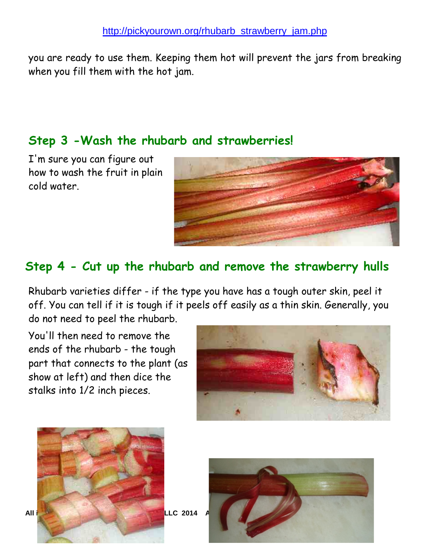you are ready to use them. Keeping them hot will prevent the jars from breaking when you fill them with the hot jam.

#### **Step 3 -Wash the rhubarb and strawberries!**

I'm sure you can figure out how to wash the fruit in plain cold water.



#### **Step 4 - Cut up the rhubarb and remove the strawberry hulls**

Rhubarb varieties differ - if the type you have has a tough outer skin, peel it off. You can tell if it is tough if it peels off easily as a thin skin. Generally, you do not need to peel the rhubarb.

You'll then need to remove the ends of the rhubarb - the tough part that connects to the plant (as show at left) and then dice the stalks into 1/2 inch pieces.





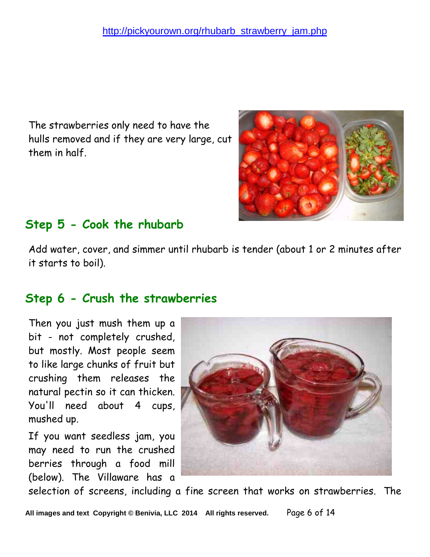The strawberries only need to have the hulls removed and if they are very large, cut them in half.



## **Step 5 - Cook the rhubarb**

Add water, cover, and simmer until rhubarb is tender (about 1 or 2 minutes after it starts to boil).

### **Step 6 - Crush the strawberries**

Then you just mush them up a bit - not completely crushed, but mostly. Most people seem to like large chunks of fruit but crushing them releases the natural pectin so it can thicken. You'll need about 4 cups, mushed up.

If you want seedless jam, you may need to run the crushed berries through a food mill (below). The Villaware has a



selection of screens, including a fine screen that works on strawberries. The

**All images and text Copyright © Benivia, LLC 2014 All rights reserved.** Page 6 of 14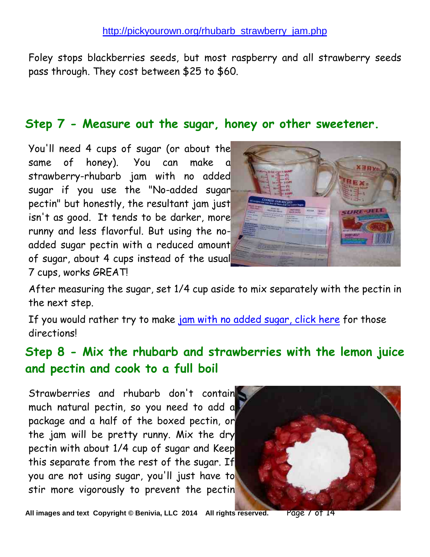Foley stops blackberries seeds, but most raspberry and all strawberry seeds pass through. They cost between \$25 to \$60.

#### **Step 7 - Measure out the sugar, honey or other sweetener.**

You'll need 4 cups of sugar (or about the same of honey). You can make a strawberry-rhubarb jam with no added sugar if you use the "No-added sugar pectin" but honestly, the resultant jam just isn't as good. It tends to be darker, more runny and less flavorful. But using the noadded sugar pectin with a reduced amount of sugar, about 4 cups instead of the usual 7 cups, works GREAT!



After measuring the sugar, set 1/4 cup aside to mix separately with the pectin in the next step.

If you would rather try to make [jam with no added sugar, click here](http://pickyourown.org/jamnosugar.htm) for those directions!

### **Step 8 - Mix the rhubarb and strawberries with the lemon juice and pectin and cook to a full boil**

Strawberries and rhubarb don't contain much natural pectin, so you need to add a package and a half of the boxed pectin, or the jam will be pretty runny. Mix the dry pectin with about 1/4 cup of sugar and Keep this separate from the rest of the sugar. If you are not using sugar, you'll just have to stir more vigorously to prevent the pectin



**All images and text Copyright © Benivia, LLC 2014 All rights reserved.** Page 7 of 14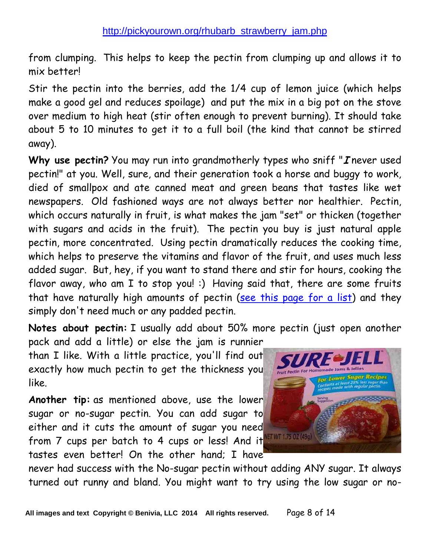from clumping. This helps to keep the pectin from clumping up and allows it to mix better!

Stir the pectin into the berries, add the 1/4 cup of lemon juice (which helps make a good gel and reduces spoilage) and put the mix in a big pot on the stove over medium to high heat (stir often enough to prevent burning). It should take about 5 to 10 minutes to get it to a full boil (the kind that cannot be stirred away).

Why use pectin? You may run into grandmotherly types who sniff "*I* never used pectin!" at you. Well, sure, and their generation took a horse and buggy to work, died of smallpox and ate canned meat and green beans that tastes like wet newspapers. Old fashioned ways are not always better nor healthier. Pectin, which occurs naturally in fruit, is what makes the jam "set" or thicken (together with sugars and acids in the fruit). The pectin you buy is just natural apple pectin, more concentrated. Using pectin dramatically reduces the cooking time, which helps to preserve the vitamins and flavor of the fruit, and uses much less added sugar. But, hey, if you want to stand there and stir for hours, cooking the flavor away, who am I to stop you! :) Having said that, there are some fruits that have naturally high amounts of pectin [\(see this page for a list\)](http://pickyourown.org/pectin.htm) and they simply don't need much or any padded pectin.

**Notes about pectin:** I usually add about 50% more pectin (just open another

pack and add a little) or else the jam is runnier than I like. With a little practice, you'll find out exactly how much pectin to get the thickness you like.

**Another tip:** as mentioned above, use the lower sugar or no-sugar pectin. You can add sugar to either and it cuts the amount of sugar you need from 7 cups per batch to 4 cups or less! And it tastes even better! On the other hand; I have



never had success with the No-sugar pectin without adding ANY sugar. It always turned out runny and bland. You might want to try using the low sugar or no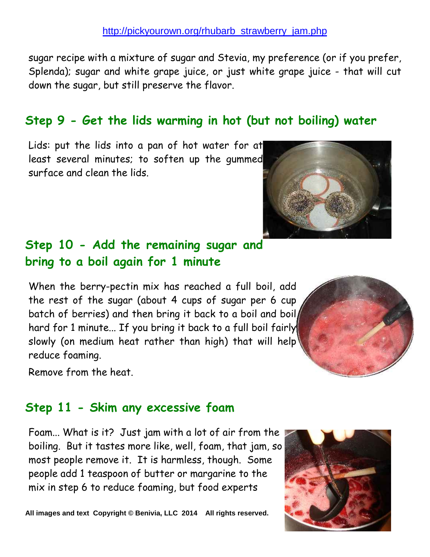sugar recipe with a mixture of sugar and Stevia, my preference (or if you prefer, Splenda); sugar and white grape juice, or just white grape juice - that will cut down the sugar, but still preserve the flavor.

## **Step 9 - Get the lids warming in hot (but not boiling) water**

Lids: put the lids into a pan of hot water for at least several minutes; to soften up the gummed surface and clean the lids.

#### **Step 10 - Add the remaining sugar and bring to a boil again for 1 minute**

When the berry-pectin mix has reached a full boil, add the rest of the sugar (about 4 cups of sugar per 6 cup batch of berries) and then bring it back to a boil and boil hard for 1 minute... If you bring it back to a full boil fairly slowly (on medium heat rather than high) that will help reduce foaming.

Remove from the heat.

### **Step 11 - Skim any excessive foam**

Foam... What is it? Just jam with a lot of air from the boiling. But it tastes more like, well, foam, that jam, so most people remove it. It is harmless, though. Some people add 1 teaspoon of butter or margarine to the mix in step 6 to reduce foaming, but food experts

All images and text Copyright © Benivia, LLC 2014 All rights reserved.





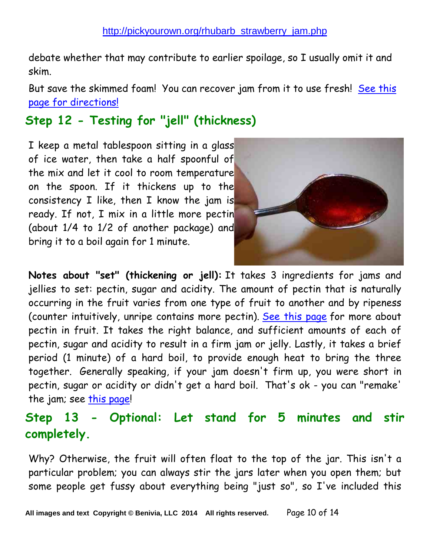debate whether that may contribute to earlier spoilage, so I usually omit it and skim.

But save the skimmed foam! You can recover jam from it to use fresh! See this [page for directions!](http://www.pickyourown.org/foam.htm)

## **Step 12 - Testing for "jell" (thickness)**

I keep a metal tablespoon sitting in a glass of ice water, then take a half spoonful of the mix and let it cool to room temperature on the spoon. If it thickens up to the consistency I like, then I know the jam is ready. If not, I mix in a little more pectin (about 1/4 to 1/2 of another package) and bring it to a boil again for 1 minute.



**Notes about "set" (thickening or jell):** It takes 3 ingredients for jams and jellies to set: pectin, sugar and acidity. The amount of pectin that is naturally occurring in the fruit varies from one type of fruit to another and by ripeness (counter intuitively, unripe contains more pectin). [See this page](http://pickyourown.org/pectin.htm) for more about pectin in fruit. It takes the right balance, and sufficient amounts of each of pectin, sugar and acidity to result in a firm jam or jelly. Lastly, it takes a brief period (1 minute) of a hard boil, to provide enough heat to bring the three together. Generally speaking, if your jam doesn't firm up, you were short in pectin, sugar or acidity or didn't get a hard boil. That's ok - you can "remake' the jam; see [this page!](http://pickyourown.org/how_to_fix_runny_jam.htm)

### **Step 13 - Optional: Let stand for 5 minutes and stir completely.**

Why? Otherwise, the fruit will often float to the top of the jar. This isn't a particular problem; you can always stir the jars later when you open them; but some people get fussy about everything being "just so", so I've included this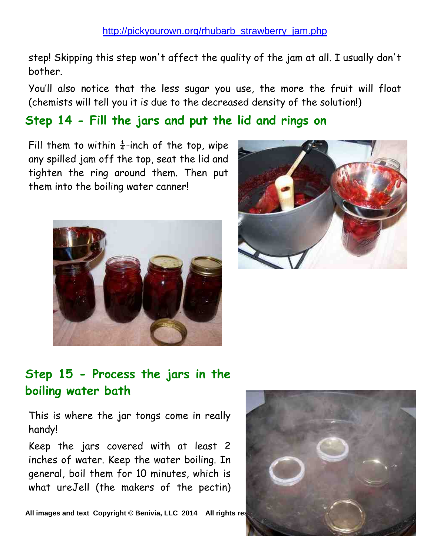step! Skipping this step won't affect the quality of the jam at all. I usually don't bother.

You'll also notice that the less sugar you use, the more the fruit will float (chemists will tell you it is due to the decreased density of the solution!)

#### **Step 14 - Fill the jars and put the lid and rings on**

Fill them to within  $\frac{1}{4}$ -inch of the top, wipe any spilled jam off the top, seat the lid and tighten the ring around them. Then put them into the boiling water canner!





### **Step 15 - Process the jars in the boiling water bath**

This is where the jar tongs come in really handy!

Keep the jars covered with at least 2 inches of water. Keep the water boiling. In general, boil them for 10 minutes, which is what ureJell (the makers of the pectin)

All images and text Copyright © Benivia, LLC 2014 All rights res

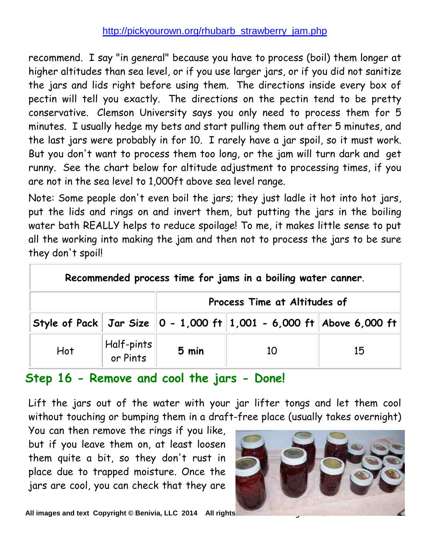recommend. I say "in general" because you have to process (boil) them longer at higher altitudes than sea level, or if you use larger jars, or if you did not sanitize the jars and lids right before using them. The directions inside every box of pectin will tell you exactly. The directions on the pectin tend to be pretty conservative. Clemson University says you only need to process them for 5 minutes. I usually hedge my bets and start pulling them out after 5 minutes, and the last jars were probably in for 10. I rarely have a jar spoil, so it must work. But you don't want to process them too long, or the jam will turn dark and get runny. See the chart below for altitude adjustment to processing times, if you are not in the sea level to 1,000ft above sea level range.

Note: Some people don't even boil the jars; they just ladle it hot into hot jars, put the lids and rings on and invert them, but putting the jars in the boiling water bath REALLY helps to reduce spoilage! To me, it makes little sense to put all the working into making the jam and then not to process the jars to be sure they don't spoil!

| Recommended process time for jams in a boiling water canner. |                        |                              |                                                                                       |    |  |  |
|--------------------------------------------------------------|------------------------|------------------------------|---------------------------------------------------------------------------------------|----|--|--|
|                                                              |                        | Process Time at Altitudes of |                                                                                       |    |  |  |
|                                                              |                        |                              | Style of Pack   Jar Size $\ 0 - 1{,}000$ ft $\ 1{,}001 - 6{,}000$ ft   Above 6,000 ft |    |  |  |
| Hot                                                          | Half-pints<br>or Pints | 5 min                        | 10                                                                                    | 15 |  |  |

#### **Step 16 - Remove and cool the jars - Done!**

Lift the jars out of the water with your jar lifter tongs and let them cool without touching or bumping them in a draft-free place (usually takes overnight)

You can then remove the rings if you like, but if you leave them on, at least loosen them quite a bit, so they don't rust in place due to trapped moisture. Once the jars are cool, you can check that they are



All images and text Copyright © Benivia, LLC 2014 All rights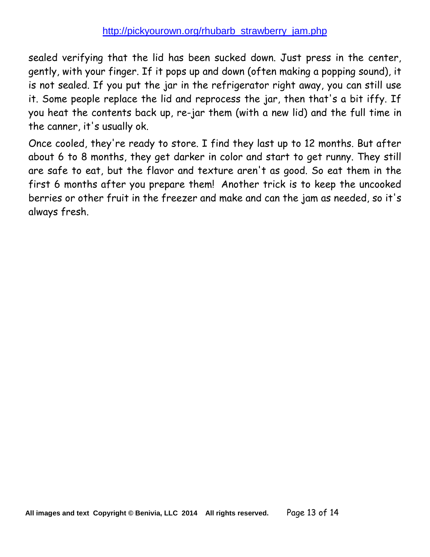sealed verifying that the lid has been sucked down. Just press in the center, gently, with your finger. If it pops up and down (often making a popping sound), it is not sealed. If you put the jar in the refrigerator right away, you can still use it. Some people replace the lid and reprocess the jar, then that's a bit iffy. If you heat the contents back up, re-jar them (with a new lid) and the full time in the canner, it's usually ok.

Once cooled, they're ready to store. I find they last up to 12 months. But after about 6 to 8 months, they get darker in color and start to get runny. They still are safe to eat, but the flavor and texture aren't as good. So eat them in the first 6 months after you prepare them! Another trick is to keep the uncooked berries or other fruit in the freezer and make and can the jam as needed, so it's always fresh.